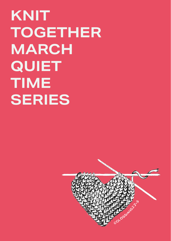# **KNIT TOGETHER MARCH QUIET TIME SERIES**

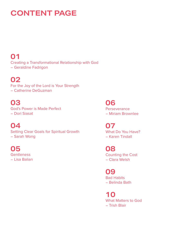### **CONTENT PAGE**

### **01**

Creating a Transformational Relationship with God **–** Geraldine Fadrigon

### **02**

For the Joy of the Lord is Your Strength **–** Catherine DeGuzman

### **03**

God's Power is Made Perfect **–** Dori Siasat

### **04**

Setting Clear Goals for Spiritual Growth **–** Sarah Wong

#### **05 Gentleness** – Lisa Balian

**06 Perseverance –** Miriam Brownlee

**07** What Do You Have? **–** Karen Tindall

**08** Counting the Cost **–** Clara Welsh

**09** Bad Habits **–** Belinda Bath

**10** What Matters to God **–** Trish Blair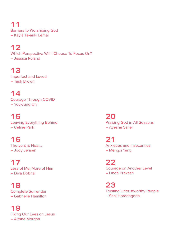**11** Barriers to Worshiping God **–** Kayla Te-ariki Lemai

### **12**

Which Perspective Will I Choose To Focus On? **–** Jessica Roland

### **13**

Imperfect and Loved **–** Tash Brown

### **14**

Courage Through COVID **–** You-Jung Oh

### **15**

Leaving Everything Behind – Celine Park

### **16**

The Lord is Near… **–** Jody Jensen

### **17**

Less of Me, More of Him **–** Diva Dobhal

### **18**

Complete Surrender – Gabrielle Hamilton

### **19**

Fixing Our Eyes on Jesus **–** Aithne Morgan

#### **20** Praising God in All Seasons **–** Ayesha Salier

**21** Anxieties and Insecurities – Mengxi Yang

**22** Courage on Another Level **–** Linda Prakash

**23** Trusting Untrustworthy People – Sanj Horadagoda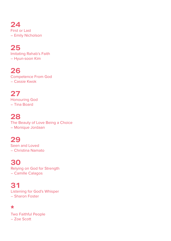**24** First or Last **–** Emily Nicholson

**25** Imitating Rahab's Faith – Hyun-soon Kim

**26** Competence From God – Cassie Kwok

**27** Honouring God **–** Tina Board

### **28**

The Beauty of Love Being a Choice **–** Monique Jordaan

### **29**

Seen and Loved – Christina Namato

**30**

Relying on God for Strength – Camille Calagos

**31** Listening for God's Whisper – Sharon Foster

#### **\***

Two Faithful People – Zoe Scott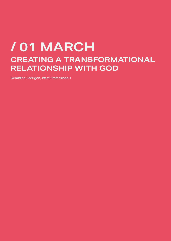## **/ 01 MARCH CREATING A TRANSFORMATIONAL RELATIONSHIP WITH GOD**

**Geraldine Fadrigon, West Professionals**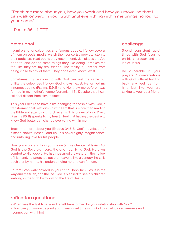"Teach me more about you, how you work and how you move, so that I can walk onward in your truth until everything within me brings honour to your name."

– Psalm 86:11 TPT

#### devotional

I admire a lot of celebrities and famous people. I follow several of them on social media, watch their concerts / movies, listen to their podcasts, read books they recommend, visit places they've been to, and do the same things they like doing. It makes me feel like they are my real friends. The reality is, I am far from being close to any of them. They don't even know I exist.

Sometimes, my relationship with God can feel the same but unlike the celebrities I follow, God knows I exist. He formed my innermost being (Psalms 139:13) and He knew me before I was formed in my mother's womb (Jeremiah 1:5). Despite that, I can still feel distant from Him at times.

This year I desire to have a life-changing friendship with God, a transformational relationship with Him that is more than reading the Bible and attending church events. This prayer of King David (Psalms 86:11) speaks to my heart. I feel that having the desire to know God better can change everything within me.

Teach me more about you (Exodus 34:6-8) God's revelation of himself shows Moses—and us—his sovereignty, magnificence, and unfailing love for his people.

How you work and how you move (entire chapter of Isaiah 40) God is the Sovereign Lord, the one true, living God. He gives comfort to His people. He has measured the waters in the hollow of his hand, he stretches out the heavens like a canopy, he calls each star by name, his understanding no one can fathom.

So that I can walk onward in your truth (John 14:6) Jesus is the way and the truth, and the life. God is pleased to see his children walking in the truth by following the life of Jesus.

#### reflection questions

- When was the last time your life felt transformed by your relationship with God?
- How can you move beyond your usual quiet time with God to an all-day awareness and connection with him?

#### challenge

Spend consistent quiet times with God focusing on his character and the life of Jesus.

Be vulnerable in your prayers / conversations with God without holding back any feelings from him, just like you are talking to your best friend.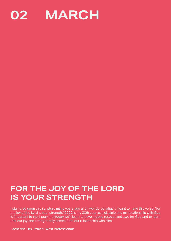

### **FOR THE JOY OF THE LORD IS YOUR STRENGTH**

I stumbled upon this scripture many years ago and I wondered what it meant to have this verse, "for the joy of the Lord is your strength." 2022 is my 30th year as a disciple and my relationship with God is important to me. I pray that today we'll learn to have a deep respect and awe for God and to learn that our joy and strength only comes from our relationship with Him.

**Catherine DeGuzman, West Professionals**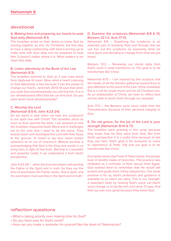#### devotional

#### **A. Making time and preparing our hearts to seek God daily (Nehemiah 8:1)**

The Israelites acted on their desire to know God by coming together as one. As Christians, the first step to have a deep relationship with God is turning up to make time with God daily and be prepared to hear Him. It doesn't matter where it is. What matters is we meet God daily.

#### **B. Listen attentively to the Book of the Law (Nehemiah 8:3)**

The Israelites listened to God as it was read aloud from daybreak till noon. Wow, what a heart! Listening to God attentively is key because it has the power to change our hearts. Jeremiah 29:13-14 says that when you seek God wholeheartedly you will find him. It is in our wholehearted effort that we can find God. Do you seek God's word wholeheartedly?

#### **C. Worship the Lord**

#### **(Nehemiah 8:5-6; John 4:23-24)**

Do we stand in awe when we hear the scriptures? Is our spirit one with Christ? The Israelites stood as soon as Ezra opened the bible. I am amazed at how the Israelites respected God's Word and it challenges me to the core that I need to do the same. They bowed down and worshiped the Lord with their faces to the ground. To kneel or lay face down before someone as an act of reverence. Biblical worship is acknowledging that God is the King and results in us living lives in light of that truth. Worship is a beautiful and powerful reality if we understand it from God's perspective.

John 4:23-24, "...when the true worshipers will worship the Father in the Spirit and in truth, for they are the kind of worshipers the Father seeks. God is spirit, and his worshipers must worship in the Spirit and in truth."

#### **D. Examine the scriptures (Nehemiah 8:8 & 13; Romans 12:1-2, Acts 17:11)**

Nehemiah 8:8 – Examining the scriptures is an essential part in knowing God and through this we can live out the scriptures by assessing what we have done and deciding to change from what we just heard.

Romans 12:2 – Renewing our minds daily from God's word is what transforms us. Our goal is to be transformed like Christ.

Nehemiah 8:13 – I am inspired by this scripture that the heads of all the families gathered around Ezra to give attention to the word of the Law. I think nowadays this is a call for single mums and for all Christians too. As an ambassador of Christ, we have to reflect God and be able to teach them through our example.

Acts 17:11 – the Bereans were more noble than the Thessalonians because of their personal integrity to God.

#### **E. Do not grieve, for the joy of the Lord is your strength (Nehemiah 8:10 & 17)**

The Israelites were grieving in this verse because they knew how far they were from God. But from God's perspective it is a joyful time because at last they see God. God's goal is for everyone to come to repentance (2 Peter 3:9) and our goal is to be transformed like Christ.

During the seven day Feast of Tabernacles, the people lived in booths made of branches. This practice was instituted as a reminder of their rescue from Egypt. God wanted them to remember that He would still protect and guide them if they obeyed him. The same promise is for us, God's protection and guidance is available to us when we obey. This is our strength: a repentant heart by hearing God's word. Let God's word change us to be like him and verse 17 says, And their joy was very great because they knew God.

- What is taking priority over making time for God?
- Do you have awe for God's word?
- How can you make a reminder for yourself like the feast of Tabernacles?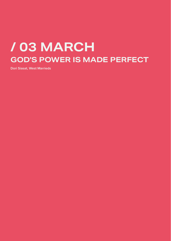## **/ 03 MARCH GOD'S POWER IS MADE PERFECT**

**Dori Siasat, West Marrieds**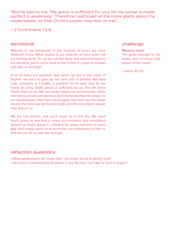"But he said to me, "My grace is sufficient for you, for my power is made perfect in weakness." Therefore I will boast all the more gladly about my weaknesses, so that Christ's power may rest on me."

– 2 Corinthians 12:9

#### devotional

Maturity is not measured in the number of years we have followed Christ. What counts is our reliance on God when we are feeling weak. To not be carried away and overwhelmed by the situation, but to come back to the Father in prayer to sustain and give us strength.

A lot of times we question God when we are in the midst of trouble. we want to give up, we have lots of worries. But take note, everyday is a battle, a problem on its own, that its too heavy to carry. God's grace is sufficient for us. For we know Christ died for us. We can boast about our weaknesses rather than being emotional because God demonstrated His power to our weaknesses. The more we struggle, the more we feel weak means the more we will find strength and the more God's power may rest on us.

We are not perfect, and you'll never be in this life. We need God's grace to see that in every circumstance and everything around us God's grace is sufficient for every moment of every day. God simply wants us to surrender our inadequacy to him so that He can fill us with His strength.

#### reflection questions

- What weaknesses do I have that I can boast about to glorify God?
- Are there overwhelming situations in my life that I can take to God in prayer?

#### challenge

#### **Memory verse:**

"He gives strength to the weary and increases the power of the weak."

– Isaiah 40:29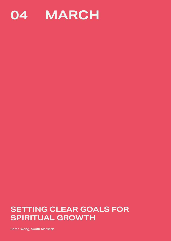

### **SETTING CLEAR GOALS FOR SPIRITUAL GROWTH**

**Sarah Wong, South Marrieds**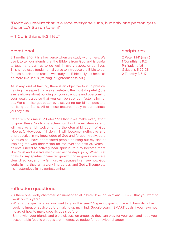"Don't you realize that in a race everyone runs, but only one person gets the prize? So run to win!"

– 1 Corinthians 9:24 NLT

#### devotional

2 Timothy 3:16-17 is a key verse when we study with others. We use it to tell our friends that the Bible is from God and is useful to teach and train us to do well in every aspect of our lives. This is not just a fundamental verse to introduce the Bible to our friends but also the reason we study the Bible daily **–** it helps us be more like Jesus (training in righteousness, v16).

As in any kind of training, there is an objective to it. In physical training (the aspect that we can relate to the most - hopefully) the aim is always about building on your strengths and overcoming your weaknesses so that you can be stronger, faster, slimmer etc. We can also get better by discovering our blind spots and realising our faults. All of these features apply to our spiritual journey also.

Peter reminds me in 2 Peter 1:1-11 that if we make every effort to grow these Godly characteristics, I will never stumble and will receive a rich welcome into the eternal kingdom of God (Hooray!). However, if I don't, I will become ineffective and unproductive in my knowledge of God and forget my salvation. As much as I have appreciated people pointing out my sins or inspiring me with their vision for me over the past 30 years, I believe I need to actively bear spiritual fruit to become more like Christ and less like my old self as the days go by. When I set goals for my spiritual character growth, those goals give me a clear direction, and my faith grows because I can see how God works in me, that I am a work in progress, and God will complete his masterpiece in his perfect timing.

#### scriptures

2 Peter 1:1-11 (main) 1 Corinthians 9:24 Philippians 1:6 Galatians 5:22-26 2 Timothy 3:6-17

- Is there one Godly characteristic mentioned at 2 Peter 1:5-7 or Galatians 5:22-23 that you want to work on this year?
- What is the specific area you want to grow this year? A specific goal for me with humility is like seeking input or advice before making up my mind. Google search SMART goals if you have not heard of how to make specific goals before.
- Share with your friends and bible discussion group, so they can pray for your goal and keep you accountable (public pledges are an effective nudge for behaviour change)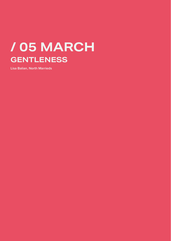## **/ 05 MARCH GENTLENESS**

**Lisa Balian, North Marrieds**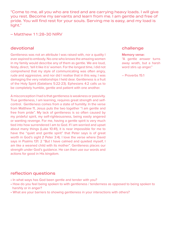"Come to me, all you who are tired and are carrying heavy loads. I will give you rest. Become my servants and learn from me. I am gentle and free of pride. You will find rest for your souls. Serving me is easy, and my load is light."

– Matthew 11:28-30 NIRV

#### devotional

Gentleness was not an attribute I was raised with, nor a quality I ever aspired to embody. No-one who knows the amazing women in my family would describe any of them as gentle. We are loud, feisty, direct, 'tell it like it is' women. For the longest time, I did not comprehend that my style of communicating was often angry, rude and aggressive, and nor did I realise that in this way, I was damaging the very relationships I held dear. Gentleness is a fruit of the Holy Spirit (Galatians 5:22-23). Ephesians 4:2 calls us to be completely humble, gentle and patient with one another.

A misconception I had is that gentleness is weakness or passivity. True gentleness, I am learning, requires great strength and selfcontrol. Gentleness comes from a state of humility. In the verse from Matthew 11, Jesus puts the two together "I am gentle and free from pride". My lack of gentleness is so often caused by my prideful spirit, my self-righteousness, being easily angered or wanting revenge. For me, having a gentle spirit is very much tied into how surrendered I am to God. If I am worried and upset about many things (Luke 10:41), it is near impossible for me to have the "quiet and gentle spirit" that Peter says is of great worth in God's sight (1 Peter 3:4). I love the verse where David says in Psalms 131: 2 "But I have calmed and quieted myself, I am like a weaned child with its mother". Gentleness places our strength under God's guidance. He can then use our words and actions for good in His kingdom.

#### challenge

#### **Memory verse:**

"A gentle answer turns away wrath, but a harsh word stirs up anger."

– Proverbs 15:1

- In what ways has God been gentle and tender with you?
- How do you feel being spoken to with gentleness / tenderness as opposed to being spoken to harshly or in anger?
- What are your barriers to showing gentleness in your interactions with others?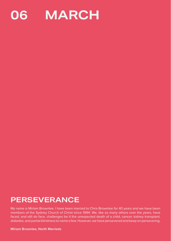

### **PERSEVERANCE**

My name is Miriam Brownlee. I have been married to Chris Brownlee for 40 years and we have been members of the Sydney Church of Christ since 1994. We, like so many others over the years, have faced, and still do face, challenges be it the unexpected death of a child, cancer, kidney transplant, diabetes, and partial blindness to name a few. However, we have persevered and keep on persevering.

**Miriam Brownlee, North Marrieds**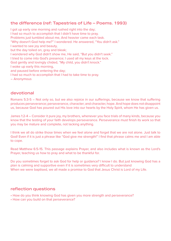#### the difference (ref: Tapestries of Life – Poems. 1993)

I got up early one morning and rushed right into the day; I had so much to accomplish that I didn't have time to pray. Problems just tumbled about me, And heavier came each task. "Why doesn't God help me?" I wondered. He answered, "You didn't ask." I wanted to see joy and beauty, but the day toiled on, gray and bleak; I wondered why God didn't show me, He said, "But you didn't seek." I tried to come into God's presence; I used all my keys at the lock. God gently and lovingly chided, "My child, you didn't knock." I woke up early this morning, and paused before entering the day; I had so much to accomplish that I had to take time to pray. **–** Anonymous

#### devotional

Romans 5:3-5 **–** Not only so, but we also rejoice in our sufferings, because we know that suffering produces perseverance; perseverance, character; and character, hope. And hope does not disappoint us, because God has poured out His love into our hearts by the Holy Spirit, whom He has given us.

James 1:2-4 **–** Consider it pure joy, my brothers, whenever you face trials of many kinds, because you know that the testing of your faith develops perseverance. Perseverance must finish its work so that you may be mature and complete, not lacking anything.

I think we all do strike those times when we feel alone and forget that we are not alone. Just talk to God! Even if it is just a phrase like "God give me strength!" I find that phrase calms me and I am able to cope.

Read Matthew 6:5-15. This passage explains Prayer, and also includes what is known as the Lord's Prayer, teaching us how to pray and what to be thankful for.

Do you sometimes forget to ask God for help or guidance? I know I do. But just knowing God has a plan is calming and supportive even if it is sometimes very difficult to understand When we were baptised, we all made a promise to God that Jesus Christ is Lord of my Life.

- How do you think knowing God has given you more strength and perseverance?
- How can you build on that perseverance?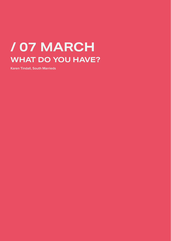## **/ 07 MARCH WHAT DO YOU HAVE?**

**Karen Tindall, South Marrieds**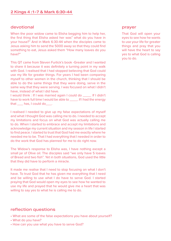#### devotional

When the poor widow came to Elisha begging him to help her, the first thing that Elisha asked her was" what do you have in your house?" And in Mark 6:30-44 when the disciples came to Jesus asking him to send the 5000 away so that they could find something to eat, Jesus asked them "How many loaves do you have?"

This QT came from Steven Furtick's book -Greater and I wanted to share it because it was definitely a turning point in my walk with God. I realised that I had stopped believing that God could use my life for greater things. For years I had been comparing myself to other women in the church, thinking that I should be able to do the same things that they were doing, serve in the same way that they were serving. I was focused on what I didn't have, instead of what I did have.

I would think : If I was married again I could do \_\_\_\_. If I didn't have to work full time I would be able to \_\_\_\_\_. If I had the energy that has, I could do that

I realised I needed to give up my false expectations of myself and what I thought God was calling me to do. I needed to accept my limitations and focus on what God was actually calling me to do. When I started to embrace and accept my limitations and acknowledge my current situation and my season in life I started to find peace. I started to trust that God had me exactly where he needed me to be. That I had everything that I needed in order to do the work that God has planned for me to do right now.

The Widow's response to Elisha was, I have nothing except a small jar of Olive oil. The disciples said "we only have 5 loaves of Bread and two fish". Yet in both situations, God used the little that they did have to perform a miracle.

It made me realise that I need to stop focusing on what I don't have. To trust God that he has given me everything that I need and be willing to use what I do have to serve God. I started praying that God would open my eyes to see how he wanted to use my life and prayed that he would give me a heart that was willing to say yes to what he is calling me to do.

#### reflection questions

- What are some of the false expectations you have about yourself?
- What do you have?
- How can you use what you have to serve God?

#### prayer

That God will open your eyes to see how he wants to use your life for greater things and pray that you will have the heart to say yes to what God is calling you to do.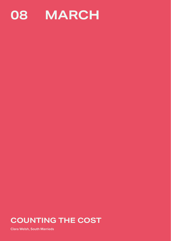

### **COUNTING THE COST**

**Clara Welsh, South Marrieds**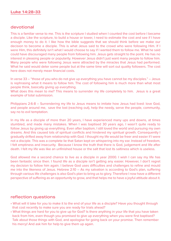#### devotional

This is a familiar verse to me. This is the scripture I studied when I counted the cost before I became a disciple. Like the scripture, to build a house or tower, I need to estimate the cost and see if I have enough money to do it. I like how the bible suggests that we should think before we make our decision to become a disciple. This is what Jesus said to the crowd who were following Him. If I were Him, this definitely isn't what I would choose to say if I wanted them to follow me. What he said could have discouraged many people from following him. Jesus gets straight to the point. He has no interest in pleasing people or popularity. However Jesus didn't just want many people to follow him. Many people who were following Jesus were attracted by the miracles that Jesus had performed. What he said would deter some people but at the same time will sort out quality followers. The cost here does not merely mean financial costs.

In verse 33 – "those of you who do not give up everything you have cannot be my disciples." – Jesus is rephrasing what it means to follow him. The cost of following him is much more than what most people think, basically giving up everything.

What does this mean to me? This means to surrender my life completely to him. Jesus is a great example of total submission.

Philippians 2:6-8 – Surrendering my life to Jesus means to imitate how Jesus had lived: love God, and people around me, save the lost (reaching out), help the needy, serve the people, community, say no to evil temptation.

In my life as a disciple of more than 20 years, I have experienced many ups and downs, at times stumbled, and made many mistakes. When I was baptised 30 years ago, I wasn't quite ready to follow Jesus by giving up everything. Even after baptism, I still loved the world and pursuing my own dreams. And this caused lots of spiritual conflicts and hindered my spiritual growth. Consequently I gradually drifted away from relationship with God. I thought my life would be freer and easier if I were not a disciple. This was a complete lie that Satan kept on whispering into my ear. Instead of freedom, I felt emptiness and insecurity. Because I know the truth that there is God, judgement and life after death. I felt my life was like an unfinished house or the salt that lost its saltiness which is useless.

God allowed me a second chance to live as a disciple in year 2000. I wish I can say my life has been fantastic since then. I found life as a disciple isn't getting any easier. However, I don't regret my decision to follow him again. I believe God uses difficulties and challenges to refine and mould me into the likeness of Jesus. Hebrew 2:10 – As my salvation is according to God's plan, suffering through various life challenges is also God's plan to bring us to glory. Therefore I now have a different perspective of suffering as an opportunity to grow, and that helps me to have a joyful attitude about it.

- What will it take for you to make it to the end of your life as a disciple? Have you thought through that cost recently to make sure you are ready for trials ahead?
- What things are hard for you to give up for God? Is there anything in your life that you have taken back from him, even though you promised to give up everything when you were first baptised? Talk about those things with God, and apologise for going back on your promise. Then remember his mercy! And ask him for help to give them up again.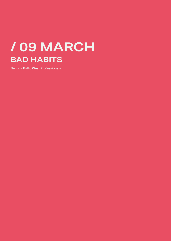## **/ 09 MARCH BAD HABITS**

**Belinda Bath, West Professionals**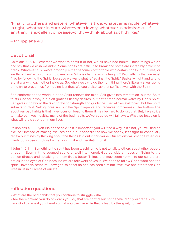"Finally, brothers and sisters, whatever is true, whatever is noble, whatever is right, whatever is pure, whatever is lovely, whatever is admirable—if anything is excellent or praiseworthy—think about such things."

– Philippians 4:8

#### devotional

Galatians 5:16-17**–** Whether we want to admit it or not, we all have bad habits. Those things we do and say that we wish we didn't. Some habits are difficult to break and some are incredibly difficult to break. Whatever it is, we've probably either become comfortable with certain habits in our lives, or we think they're too difficult to overcome. Why is change so challenging? Paul tells us that we must "live by following the Spirit" because we want what is "against the Spirit." Basically, right and wrong are at war with each other inside us. So, when we try to do the right thing, there's literally a war going on to try to prevent us from doing just that. We could also say that self is at war with the Spirit

Self conforms to the world, but the Spirit renews the mind. Self gives into temptation, but the Spirit trusts God for a way out. Self gratifies fleshly desires, but better than normal walks by God's Spirit. Self gives in to worry, the Spirit prays for strength and guidance. Self allows evil to win, but the Spirit submits to God. Self ignores sin, but the Spirit repents and receives forgiveness. The bottom line about our bad habits is that if we focus on beating them, it may be hard to do just that. But, if we strive to make our lives healthy, many of the bad habits we've adopted will fall away. What we focus on is what will grow stronger in our lives.

Philippians 4:8 **–** Ryan Blair once said "If it is important, you will find a way. If it's not, you will find an excuse." Instead of making excuses about our poor diet or how we speak, let's fight to continually renew our minds by thinking about the things laid out in this verse. Our actions will change when our minds do so use scripture by memorising it and meditating on it.

1 John 4:12-14 **–** Something the spirit has been teaching me is not to talk to others about other people through . Even if it me seemed subtle or well-intentioned, God considers it gossip . Going to the person directly and speaking to them first is better. Things that may seem normal to our culture are not ok in the eyes of God because we are followers of Jesus. We need to follow God's word and the spirit. I love this scripture - how god said that no one has seen him but if we love one other then God lives in us in all areas of our life

- What are the bad habits that you continue to struggle with?
- Are there actions you do or words you say that are normal but not beneficial? If you aren't sure, ask God to reveal your heart so that you can live a life that is lead by the spirit, not self.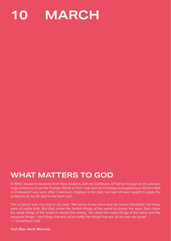

### **WHAT MATTERS TO GOD**

In 1993 I moved to Australia from New Zealand, with my Certificate of Fashion Design in my suitcase, I had ambitions to set the Fashion World on fire! I was met by Christians evangelising at Victoria Mall in Chatswood very soon after. I had been religious in the past, but had not been taught to apply the scriptures to my life and to live them out!

This scripture was very true in my case: "Not many of you were wise by human standards; not many were of noble birth. But God chose the foolish things of the world to shame the wise; God chose the weak things of the world to shame the strong. He chose the lowly things of the world and the despised things **–** the things that are not to nullify the things that are, so no one can boast" **–** 1 Corinthians 1:26

**Trish Blair, North Marrieds**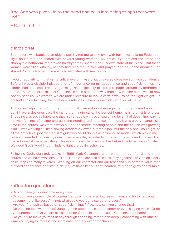"the God who gives life to the dead and calls into being things that were not."

– Romans 4:17

#### devotional

Soon after I was baptized an older sister invited me to stay over with her. It was a large Federation style house that she shared with several young women. My critical eye, noticed the dated and shabby old bathroom, the broken hairdryer they shared, the rundown state of the place. But these women were filled with joy, as they had read their bibles' and prayed together in the morning. She shared Romans 4:17 with me **–** which resonated with me deeply.

I would regularly turn that same critical eye on myself, but this verse gives me so much confidence. Before I was a disciple I placed a lot of importance on my appearance and superficial things, my clothes had to be cool. I read Vogue magazine religiously, plastered its pages around my bedroom at home. This verse explains that God sees in such a different way than how we see ourselves, to how society sees us. As women, we are under pressure to look a certain way, to be the right weight. To present in a certain way, the pressure is relentless, even worse today with social media.

This verse helps me to fight the thought that I am not good enough, I am not educated enough, I don't have a designer bag, the up to the minute style, the perfect home, nails, the list is endless. Shopping was such a habit, one that I still struggle with, ever searching for a hit of dopamine, leaving me with feelings of shame and guilt and needing to find places for stuff. It was a very evangalistic time in the church, we were always out on the streets meeting people and the church was growing a lot. I was working full time sewing Academic Gowns, a terrible job, but the only one I could get, as all the entry level jobs wanted slim girls who could double as an in-house model, which wasn't me. I realised I needed to have my quiet times every day in order to cope with my work and this new life I had adopted, it was exhausting. This morning daily habit is what has helped me to remain a Christian. We need God's word in our minds to fight the devil's schemes.

Following God's plan truly works. In 1999 Mark Colantonio and I were married after dating in the church and we have two sons Alex and Noah who are also disciples. Staying faithful to God on a daily basis reaps so many rewards. Working on our character and our teachability is of more value than outward appearance and status, daily quiet times keep us soft hearted, striving to grow and humble.

- Do you have your quiet time every day?
- Do you have a core circle of women friends who share scriptures with you, and try to help you become more like Jesus? If not, what could you do to start that process?
- Are your friendships based on superficial things? If so, how can you change that?
- Do you find fault with others? Judging their appearance, odd manner or even singing voice? Or do you understand that we are all called to be God's children because God sees our hearts?
- Do you try to make yourself happy through shopping, rather than deeply connecting with others?
- Are you trying to impress and intimidate, or are you approachable?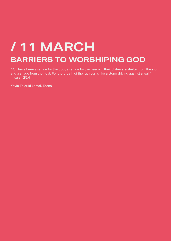## **BARRIERS TO WORSHIPING GOD / 11 MARCH**

"You have been a refuge for the poor, a refuge for the needy in their distress, a shelter from the storm and a shade from the heat. For the breath of the ruthless is like a storm driving against a wall." **–** Isaiah 25:4

**Kayla Te-ariki Lemai, Teens**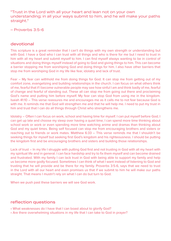"Trust in the Lord with all your heart and lean not on your own understanding; in all your ways submit to him, and he will make your paths straight."

– Proverbs 3:5-6

#### devotional

This scripture is a great reminder that I can't do things with my own strength or understanding but with God. I have a God who I can trust with all things and who is there for me but I need to trust in him with all my heart and submit myself to him. I can find myself always wanting to be in control of situations and doing things myself instead of going to God and giving things to him. This can become a barrier stopping me from worshiping God and doing things for him. I also have other barriers that stop me from worshiping God in my life like fear, idolatry and lack of trust.

Fear **–** My fear can withhold me from doing things for God. It can stop me from getting out of my comfort zone, evangelizing and building relationships in the church. I can focus on what others think of me, fearful that if I become vulnerable people may see how sinful I am and think badly of me, fearful of change and fearful of standing out. These all can stop me from going out there and proclaiming God's name and putting him before myself. My fear can stop God from using me in the kingdom. Isaiah 41:10 **–** This verse reassures me and encourages me as it calls me to not fear because God is with me. It reminds me that God will strengthen me and that he will help me. I need to put my trust in him and trust that I can do all things through Christ who strengthens me.

Idolatry **–** Often I can focus on work, school and having time for myself. I can put myself before God; I can get up late and choose my sleep over having a quiet time; I can spend more time thinking about school work or work or even spending more time watching anime and dramas than thinking about God and my quiet times. Being self focused can stop me from encouraging brothers and sisters or reaching out to friends or work mates. Matthew 6:33 **–** This verse reminds me that I shouldn't be seeking things for myself but seeking first God's kingdom and his righteousness. I should be putting the kingdom first and be encouraging brothers and sisters and building those relationships.

Lack of trust **–** In my life I struggle with putting God first and not trusting in God with all my heart with my spiritual life and in general. I can face hardship and try to fix them myself and can become drained and frustrated. With my family I can lack trust in God with being able to support my family and help us become more godly focused. Sometimes I can think of what I want instead of listening to God and trusting that he will provide and be there for my family. Proverbs 3:5-6, says that we need to trust in the Lord with all our heart and even promises us that if we submit to him he will make our paths straight. That means I mustn't rely on what I can do but turn to God.

When we push past these barriers we will see God work.

- What weaknesses do I have that I can boast about to glorify God?
- Are there overwhelming situations in my life that I can take to God in prayer?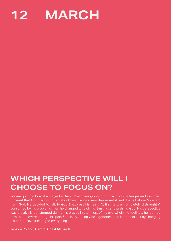

### **WHICH PERSPECTIVE WILL I CHOOSE TO FOCUS ON?**

We are going to look at a prayer by David. David was going through a lot of challenges and assumed it meant that God had forgotten about him. He was very depressed & sad. He felt alone & distant from God. He decided to talk to God & express his heart. At first he was completely distraught & consumed by his problems, then he changed to rejoicing, trusting, and praising God. His perspective was drastically transformed during his prayer. In the midst of his overwhelming feelings, he learned how to persevere through his pain & trials by seeing God's goodness. He learnt that just by changing his perspective it changed everything.

**Jessica Roland, Central Coast Marrieds**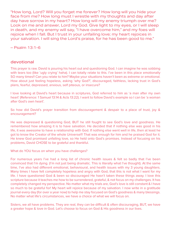"How long, Lord? Will you forget me forever? How long will you hide your face from me? How long must I wrestle with my thoughts and day after day have sorrow in my heart? How long will my enemy triumph over me? Look on me and answer, Lord my God. Give light to my eyes, or I will sleep in death, and my enemy will say, "I have overcome him," and my foes will rejoice when I fall. But I trust in your unfailing love; my heart rejoices in your salvation. I will sing the Lord's praise, for he has been good to me."

– Psalm 13:1-6

#### devotional

This prayer is raw. David is pouring his heart out and questioning God. I can imagine he was sobbing with tears too (like 'ugly crying' haha). I can totally relate to this. I've been in this place emotionally SO many times!! Can you relate to him? Maybe your situations haven't been as extreme or emotional. How about just feeling hopeless, asking 'why God?', discouraged, faithless, lacking trust in God's plans, fearful, depressed, anxious, self piteous, or insecure?

I love looking at David's heart because in scriptures, God referred to him as 'a man after my own heart' (Reference: 1 Samuel 13:14 & Acts 13:22). I want to follow David's example so I can be 'a woman after God's own heart'.

So how did David's prayer transition from discouragement & despair to a place of trust, joy & encouragement?

He was depressed & questioning God, BUT he still fought to see God's love and goodness. He remembered how amazing it is to have salvation. He decided that if nothing else was good in his life, it was awesome to have a relationship with God. If nothing else went well in life, then at least he got to know the Creator of the whole Universe!!! That was enough for him and he praised God for it. He knew God promised unfailing love, so He held onto God's promises. Instead of focusing on his problems, David CHOSE to be grateful and thankful.

What do YOU focus on when you have challenges?

For numerous years I've had a long list of chronic health issues & felt so badly that I've been convinced that I'm dying. (I'm not just being dramatic. This is literally what I've thought). At the same time, I've also had different emotional, behavioural, and health issues with my 3 young daughters. Many times I have felt completely hopeless and angry with God, that this is not what I want for my life. I have questioned God & been so discouraged He hasn't taken these things away. I love this scripture because it teaches me how to be surrendered, grateful, & not focus on my challenges. It has completely changed my perspective. No matter what my trials are, God's love is still constant & I have so much to be grateful for! My heart will rejoice because of my salvation. I now write in a gratitude journal every day (for over a year now) to help me stay focused on God's goodness & many blessings. No matter what life's circumstances, we have a choice of what we will focus on.

Sisters, we all have problems. They are real, they can be difficult & often discouraging, BUT, we have a greater hope & love in God. Let's choose to focus on God & His goodness in our lives.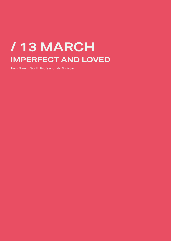## **/ 13 MARCH IMPERFECT AND LOVED**

**Tash Brown, South Professionals Ministry**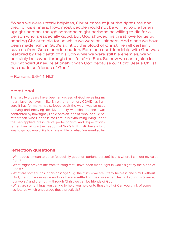"When we were utterly helpless, Christ came at just the right time and died for us sinners. Now, most people would not be willing to die for an upright person, though someone might perhaps be willing to die for a person who is especially good. But God showed his great love for us by sending Christ to die for us while we were still sinners. And since we have been made right in God's sight by the blood of Christ, he will certainly save us from God's condemnation. For since our friendship with God was restored by the death of his Son while we were still his enemies, we will certainly be saved through the life of his Son. So now we can rejoice in our wonderful new relationship with God because our Lord Jesus Christ has made us friends of God."

– Romans 5:6-11 NLT

#### devotional

The last two years have been a process of God revealing my heart, layer by layer – like Shrek, or an onion. COVID, as I am sure it has for many, has stripped back the way I was so used to living and enjoying life. My identity was shaken, and I was confronted by how tightly I held onto an idea of 'who I should be' rather than 'who God tells me I am'. It is exhausting living under the self-applied pressure of perfectionism and expectations, rather than living in the freedom of God's truth. I still have a long way to go but would like to share a little of what I've learnt so far.

- What does it mean to be an 'especially good' or 'upright' person? Is this where I can get my value from?
- What might prevent me from trusting that I have been made right in God's sight by the blood of Christ?
- What are some truths in this passage? E.g. the truth we are utterly helpless and sinful without God, the truth – our value and worth were settled on the cross when Jesus died for us (even at our worst!) and the truth – through Christ we can be friends of God
- What are some things you can do to help you hold onto these truths? Can you think of some scriptures which encourage these practicals?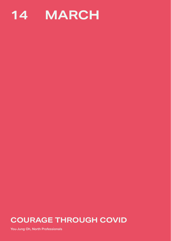

### **COURAGE THROUGH COVID**

**You-Jung Oh, North Professionals**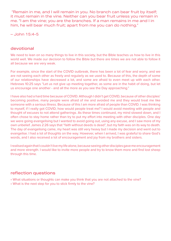"Remain in me, and I will remain in you. No branch can bear fruit by itself; it must remain in the vine. Neither can you bear fruit unless you remain in me. "I am the vine; you are the branches. If a man remains in me and I in him, he will bear much fruit; apart from me you can do nothing."

– John 15:4-5

#### devotional

We need to lean on so many things to live in this society, but the Bible teaches us how to live in this world well. We made our decision to follow the Bible but there are times we are not able to follow it all because we are very weak.

For example, since the start of the COVID outbreak, there has been a lot of fear and worry, and we are not seeing each other as freely and regularly as we used to. Because of this, the depth of some of our relationships have decreased a lot, and some are afraid to even meet up with each other. Hebrews 10:25 says "Let us not give up meeting together, as some are in the habit of doing, but let us encourage one another - and all the more as you see the Day approaching."

I have also had a hard time because of COVID. Although I didn't get COVID, because of other disciples' becoming positive, many people were afraid of me and avoided me and they would treat me like someone with a serious illness. Because of this I am more afraid of people than COVID. I was thinking to myself, if I really got COVID, how would people treat me? I would avoid meeting with people and thought of excuses to not attend gatherings. As these times continued, my mind slowed down, and I often chose to stay home rather than try to put my effort into meeting with other disciples. One day we were going evangelising but I wanted to avoid going out, using any excuse, and I saw more of my own unbelief. James 2:26 says that "faith without deeds is dead", but my faith was on its way to death. The day of evangelising came, my heart was still very heavy but I made my decision and went out to evangelise. I had a lot of thoughts on the way. However, when I arrived, I was grateful to share God's words, and I also received a lot of encouragement and joy from my brothers and sisters.

I realised again that I couldn't live my life alone, because seeing other disciples gave me encouragement and more strength. I would like to invite more people and try to know them more and find lost sheep through this time.

- What situations or thoughts can make you think that you are not attached to the vine?
- What is the next step for you to stick firmly to the vine?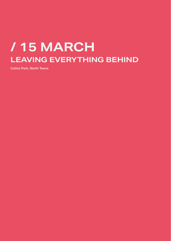## **/ 15 MARCH LEAVING EVERYTHING BEHIND**

**Celine Park, North Teens**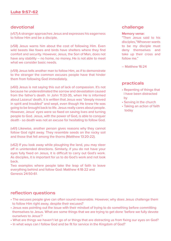#### devotional

(v57) A stranger approaches Jesus and expresses his eagerness to follow Him and be a disciple.

(v58) Jesus warns him about the cost of following Him. Even wild beasts like foxes and birds have shelters where they find comfort and security. However, Jesus, the Son of Man, does not have any stability – no home, no money, He is not able to meet what we consider basic needs.

(v59) Jesus tells another man to follow Him, as if to demonstrate to the stranger the common excuses people have that hinder them from following God immediately.

(v60) Jesus is not saying this out of lack of compassion. It's not because he underestimated the sorrow and devastation caused from the father's death. In John 11:33-35, when He is informed about Lazarus' death, it is written that Jesus was "deeply moved in spirit and troubled" and wept, even though He knew He was going to be brought back to life. Jesus really cares about people. However, Jesus' eyes were so fixed on saving lives and turning people to God. Jesus, with the power of God, is able to conquer death - so death was not an excuse for hesitating to follow God.

(v61) Likewise, another person gives reasons why they cannot follow God right away. They resemble seeds on the rocky soil and those that fell among the thorns (Matthew 13:20-22).

(v62) If you look away while ploughing the land, you may steer off in unintended directions. Similarly, if you do not have your eyes fully fixed on Jesus, it is difficult to carry out God's work. As disciples, it is important for us to do God's work and not look back.

Two examples where people take the leap of faith to leave everything behind and follow God: Matthew 4:18-22 and Genesis 24:50-61.

#### challenge

#### **Memory verse:**

"Then Jesus said to his disciples,"Whoever wants to be my disciple must deny themselves and take up their cross and follow me."

 $-$  Matthew 16:24

#### practicals

- Repenting of things that I have been distracted by
- Serving in the church
- Taking an action of faith today

- The excuses people give can often sound reasonable. However, why does Jesus challenge them to follow Him right away, despite their excuses?
- Jesus was pointing out the issue with their mindset of trying to do something before committing themselves to Jesus. What are some things that we are trying to get done 'before we fully devote ourselves to Jesus'?
- What are things we haven't let go of or things that are distracting us from fixing our eyes on God?
- In what ways can I follow God and be fit for service in the Kingdom of God?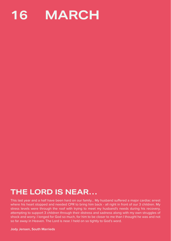

### **THE LORD IS NEAR…**

This last year and a half have been hard on our family… My husband suffered a major cardiac arrest where his heart stopped and needed CPR to bring him back - all right in front of our 3 children. My stress levels were through the roof with trying to meet my husband's needs during his recovery, attempting to support 3 children through their distress and sadness along with my own struggles of shock and worry. I longed for God so much, for him to be closer to me than I thought he was and not so far away in Heaven. The Lord is near. I held on so tightly to God's word.

**Jody Jensen, South Marrieds**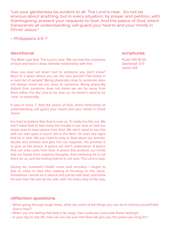"Let your gentleness be evident to all. The Lord is near. Do not be anxious about anything, but in every situation, by prayer and petition, with thanksgiving, present your requests to God. And the peace of God, which transcends all understanding, will guard your hearts and your minds in Christ Jesus."

– Philippians 4:5-7

#### devotional

The Bible says that 'The Lord is near.' We can feel the closeness of God and have a deep intimate relationship with him.

Have you ever sat down next to someone you don't know? Been to a place where you are the new person? Felt lonely in a room full of people? Being physically close to someone does not always mean we are close to someone. Being physically distant from someone does not mean we are far away from them either. For the Lord to be near us, he doesn't need to be 'near' us physically.

It says in verse 7: 'And the peace of God, which transcends all understanding, will guard your hearts and your minds in Christ Jesus.'

It is hard to believe that God is near us. To really live this out. We don't need God to take away the trouble in our lives or heal our loved ones to have peace from God. We don't need to see him with our own eyes or touch him in the flesh. Or even see signs that he is near. We just need to pray to God about our worries, doubts and sorrows and give him our requests. His promise is to give us His peace. A peace we don't understand. A peace that can only come from God. A peace that protects our minds and our hearts from negative thoughts, from believing he is not there for us, and the feeling that he is not near. The Lord is near.

During my husband's health scare and recovery, I began to feel so close to God after looking at focusing on this verse. Sometimes I would sit in silence and just be with God, and know he was near. He was by my side, with me every step of the way.

#### scriptures

Psalm 145:18-20 Zephaniah 3:17 James 4:8

- When going through tough times, what are some of the things you can do to remind yourself that God is near?
- When you are feeling that God is far away, how could you overcome these feelings?
- In your day to day life, how can you be sure that God will give you the peace you long for?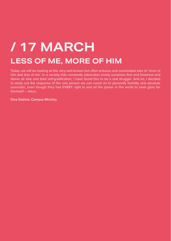## **LESS OF ME, MORE OF HIM / 17 MARCH**

Today, we will be looking at this very well-known but often arduous and overlooked idea of 'more of him and less of me'. In a society that constantly advocates loving ourselves first and foremost and above all else and total self-gratification, I have found this to be a real struggle. And so, I decided to study out the response of the one person we can count on to personify humility and absolute surrender, even though they had EVERY right to and all the power in the world to seek glory for themself – Jesus.

**Diva Dobhal, Campus Ministry**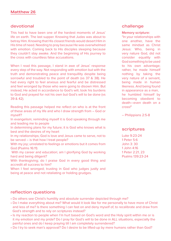#### devotional

This had to have been one of the hardest moments of Jesus' life on earth. The last supper. Knowing that Judas was about to betray Him. Knowing that His closest friends would desert Him in His time of need. Needing to pray because He was overwhelmed with emotion. Coming back to His disciples sleeping because they couldn't stay awake. And the beginning of His journey to the cross with countless false accusations.

When I read this passage, I stand in awe of Jesus' response every step of the way. Not responding with emotion but with the truth and demonstrating peace and tranquillity despite being sorrowful and troubled to the point of death (vs 37 & 38). He had every right to feel anxious and fearful and be distressed and feel wronged by those who were going to disown Him. But instead, He acted in accordance to God's will, took his burdens to God and prayed for not his own but God's will to be done (vs 39 & 42).

Reading this passage helped me reflect on who is at the front of these areas of my life and who I draw strength from – God or myself?

In evangelism; reminding myself it is God speaking through me and leading me to people

In determining plans for my future; it is God who knows what is best and the desires of my heart

In my relationships; God is love and Jesus came to serve, not to be served – is that how I treat people?

With my joy; unrelated to feelings or emotions but it comes from God (Psalms 16:11)

With my career and education; am I glorifying God by working hard and being diligent?

With thanksgiving; do I praise God in every good thing and accredit all success to him?

When I feel wronged; trusting in God who judges justly and being at peace and not retaliating or holding grudges.

#### challenge

#### **Memory scripture:**

"In your relationships with one another, have the same mindset as Christ Jesus: Who, being in very nature God, did not consider equality with God something to be used to his own advantage; rather, he made himself nothing by taking the very nature of a servant, being made in human likeness. And being found in appearance as a man, he humbled himself by becoming obedient to death—even death on a cross!"

– Philippians 2:5-8

#### scriptures

Luke 9:23-24 1 Peter 5:6 John 3: 30 1 John 4:16 1 Peter 2:21, 23 Psalms 139:23-24

- Do others see Christ's humility and absolute surrender depicted through me?
- Do I make everything about me? What would it look like for me personally to have more of Christ and less of me? Is there something I can fast on and deny myself of, to recalibrate and draw from God's strength and to rely on scriptures instead?
- Is my reaction to people when I'm hurt based on God's word and the Holy spirit within me or is it my emotion and my pride? Do I pray for God's will to be done in ALL situations, especially the painful ones and do I keep praying till I am completely surrendered?
- Do I try to seek man's approval? Do I desire to be lifted-up by mere humans rather than God?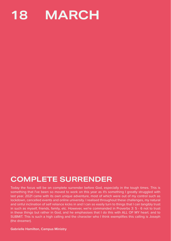

### **COMPLETE SURRENDER**

Today the focus will be on complete surrender before God, especially in the tough times. This is something that I've been so moved to work on this year as it's something I greatly struggled with last year. 2021 came with its own unique adventure, most of which were out of my control such as lockdown, cancelled events and online university. I realised throughout these challenges, my natural and sinful inclination of self reliance kicks in and I can so easily turn to things that I can tangibly trust in such as myself, friends, family, etc. However, we're commanded in Proverbs 3: 5 - 6 not to trust in these things but rather in God, and he emphasises that I do this with ALL OF MY heart. and to SUBMIT. This is such a high calling and the character who I think exemplifies this calling is Joseph (the dreamer).

**Gabrielle Hamilton, Campus Ministry**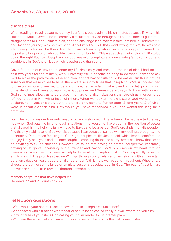#### devotional

When reading through Joseph's journey, I can't help but to admire his character, because if I was in his situation, I would have found it incredibly difficult to trust God throughout it all. Life doesn't guarantee straight paths to God's ultimate plan, and the challenge is to maintain faith (defined in Hebrews 11:1) and Joseph's journey was no exception. Absolutely EVERYTHING went wrong for him; he was sold into slavery by his own brothers, literally ran away from temptation, became wrongly imprisoned and helped a fellow prisoner who couldn't even remember him. This was such an unfair storm in life to be going through! But how Joseph responded was with complete and unwavering faith, surrender and confidence in God's promises which is easier said than done.

Covid found unique ways to change my life drastically and mess up the initial plan I had for the past two years for the ministry, work, university etc. It became so easy to do what I saw fit or ask God to make the path towards the end clear so that having faith could be easier. But this is not the surrender that we're called to have; there were so many times that Joseph could've simply decided to give up, as no end seemed to be in sight, yet he had a faith that allowed him to let go of his own understanding and views. Joseph just let God prevail and Genesis 39:2-3 says God was with Joseph. God sometimes allows us to be placed into hard or difficult situations that stretch us in order to be refined to trust in Him whilst he's right there. When we look at the big picture, God worked in the background in Joseph's story but the promise only came to fruition after 13 long years, 2 of which were in prison (Genesis 41:1). How would you have responded if you had waited this long for a promise?

I can't help but consider how anticlimactic Joseph's story would have been if he had reacted the way I do when God puts me in long tough situations **–** he would not have been in the position of power that allowed him to help his family move to Egypt and be a part of God's great plan for His people. I find that my inability to let God work is because I can be so consumed with my feelings, thoughts, and uncertainty. Rather than focusing on God's greater picture like Joseph did, which lead to comfort and true joy, I rely on myself and become caught in crippling doubt and worry, because I know that I can't do anything to fix the situation. However, I've found that having an eternal perspective, constantly praying to let go of uncertainty and surrender and having God's promises on my heart through memorising scriptures has been so helpful to emulate Joseph's trust of God especially when no end is in sight. Life promises that we WILL go through crazy twists and new storms with an uncertain duration , days or years but the challenge of our faith is how we respond throughout. Whether we choose the path of self reliance or emulate Joseph's absolute trust in God. The path of trust is hard but we can see the true rewards through Joseph's life.

#### **Memory scriptures that have helped me:**

Hebrews 11:1 and 2 Corinthians 5:7

- What would your natural reaction have been in Joseph's circumstance?
- When faced with situations where fear or self reliance can so easily prevail, where do you turn?
- In what area of your life is God calling you to surrender to His greater plan?
- What are the ways that you can equip yourselves for the storms that will come in life?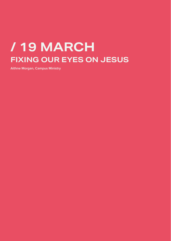## **/ 19 MARCH FIXING OUR EYES ON JESUS**

**Aithne Morgan, Campus Ministry**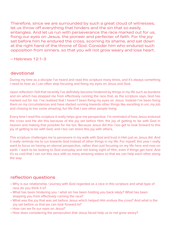Therefore, since we are surrounded by such a great cloud of witnesses, let us throw off everything that hinders and the sin that so easily entangles. And let us run with perseverance the race marked out for us, fixing our eyes on Jesus, the pioneer and perfecter of faith. For the joy set before him he endured the cross, scorning its shame, and sat down at the right hand of the throne of God. Consider him who endured such opposition from sinners, so that you will not grow weary and lose heart.

– Hebrews 12:1-3

#### devotional

During my time as a disciple I've heard and read this scripture many times, and it's always something I need to hear as I can often stop focusing and fixing my eyes on Jesus and God.

Upon reflection I felt that recently I've definitely become hindered by things in my life such as burdens and sin which has stopped me from effectively running the race that, as the scripture says, God has marked out for me. I've realised that I haven't been fixing my eyes on Jesus. Instead I've been fixing them on my circumstances and have started running towards other things like excelling in uni, my job and chasing to live some amazing, fun life that I see other people living.

Every time I read this scripture it really helps give me perspective. I'm reminded of how Jesus endured the cross and He did this because of the joy set before Him; the joy of getting to be with God in heaven and making that possible for me too. Because Jesus did this I too get to look forward to this joy of getting to be with God, and I too can share this joy with others.

This scripture challenges me to persevere in my walk with God and trust in Him just as Jesus did. And it really reminds me to run towards God instead of other things in my life. For myself, this year I really want to focus on having an eternal perspective, rather than just focusing on my life here and now on earth. I want to be looking to God everyday and not losing sight of Him, even if things get hard. And it's so cool that I can run this race with so many amazing sisters so that we can help each other along the way.

- Why is our relationship / journey with God regarded as a race in this scripture and what type of race do you think it is?
- What has been hindering you / what sin has been holding you back lately? What has been stopping you from effectively running the race?
- What was the joy that was set before Jesus which helped Him endure the cross? And what is the joy set before us that we can look forward to?
- How can we fix our eyes on Jesus?
- How does considering the persecution that Jesus faced help us to not grow weary?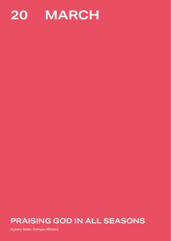

### **PRAISING GOD IN ALL SEASONS**

**Ayesha Salier, Campus Ministry**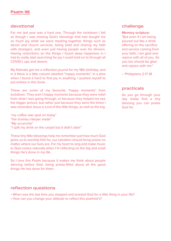#### **Psalm 98**

#### devotional

For me last year was a hard one. Through the lockdown I felt as though I was missing God's blessings that had bought me so much joy while we were meeting together, things such as devos and church services, being bold and sharing my faith with strangers, and even just having people over for dinners. Having restrictions on the things I found deep happiness in I had to really start searching for joy I could hold on to through all COVID's ups and downs.

My flatmate got me a reflection journal for my 18th birthday, and in it there is a little column labelled "happy moments". In a time when I found it hard to find joy in anything, I pushed myself to put entries in this book.

These are some of my favourite "happy moments" from lockdown. They aren't happy moments because they were relief from what I was going through, or because they helped me see the bigger picture, but rather just because they were the times I was reminded Jesus is Lord of the little things, as well as the big.

"my coffee was spot on today" "the tiramisu Harper made" "My scrunchie" "I spilt my drink on the carpet but it didn't stain"

These tiny little blessings help me remember just how much God gives us to worship Him for, our salvation should bring praise no matter where our lives are. For my heart to sing and make music to God comes naturally when I'm reflecting on the big and small things He's done in my life.

So I love this Psalm because it makes me think about people dancing before God, being praise-filled about all the good things He has done for them.

#### reflection questions

- When was the last time you stopped and praised God for a little thing in your life?
- How can you change your attitude to reflect this psalmist's?

#### challenge

#### **Memory scripture:**

"But even if I am being poured out like a drink offering on the sacrifice and service coming from your faith, I am glad and rejoice with all of you. So you too should be glad and rejoice with me."

– Philippians 2:17-18

#### practicals

As you go through your day today find a tiny blessing you can praise God for.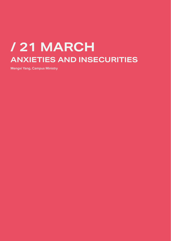## **/ 21 MARCH ANXIETIES AND INSECURITIES**

**Mengxi Yang, Campus Ministry**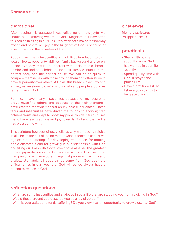#### devotional

After reading this passage I was reflecting on how joyful we should be in knowing we are in God's Kingdom, but how often this can be missing in our lives. I realized that a major reason why myself and others lack joy in the Kingdom of God is because of insecurities and the anxieties of life.

People have many insecurities in their lives in relation to their wealth, looks, popularity, abilities, family background and so on. In society today, this is so apparent with social media. People admire and idolize celebrities and their lifestyle, pursuing the perfect body and the perfect house. We can be so quick to compare themselves with those around them and often strive to have superiority over others. All in all, this breeds insecurity and anxiety as we strive to conform to society and people around us rather than in God.

For me, I have many insecurities because of my desire to prove myself to others and because of the high standard I have created for myself based on my past experiences. These fears and insecurities have driven me to look to short-sighted achievements and ways to boost my pride , which in turn causes me to have less gratitude and joy towards God and the life He has blessed me with.

This scripture however directly tells us why we need to rejoice in all circumstances of life no matter what. It teaches us that we rejoice in our sufferings for developing endurance, for forming noble characters and for growing in our relationship with God and filling our lives with God's love above all else. The greatest gift and joy in life is knowing God and remaining in His love rather than pursuing all these other things that produce insecurity and anxiety. Ultimately, all good things come from God even the difficult times in our lives, that God will so we always have a reason to rejoice in God.

#### challenge

**Memory scripture:** Philippians 4:4-9

#### practicals

- Share with others about the ways God has worked in your life recently
- Spend quality time with God in prayer and praise Him
- Have a gratitude list. To list everyday things to be grateful for

- What are some insecurities and anxieties in your life that are stopping you from rejoicing in God?
- Would those around you describe you as a joyful person?
- What is your attitude towards suffering? Do you view it as an opportunity to grow closer to God?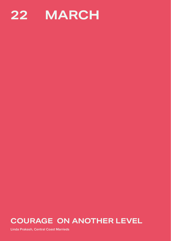

### **COURAGE ON ANOTHER LEVEL**

**Linda Prakash, Central Coast Marrieds**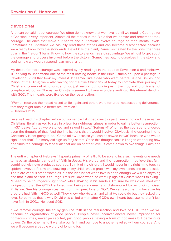#### devotional

A lot can be said about courage. We often do not know that we have it until we need it. Courage for a Christian is very important. Almost all the stories in the Bible that we admire and remember took courage. The ones that move our hearts and our actions involve courage on monumental levels. Sometimes as Christians we casually read these stories and can become disconnected because we already know how the story ends. David kills the giant, Daniel isn't eaten by the lions, the three guys in the fire don't burn. Knowing how the story ends has a disadvantage. We almost forget about the courage and process involved before the victory. Sometimes putting ourselves in the story and seeing how we would respond can reveal a lot.

My desire for more courage was inspired by my readings in the book of Revelation 6 and Hebrews 11. In trying to understand one of the most baffling books in the Bible I stumbled upon a passage in Revelation 6:9-11 that took my interest. It seemed like those who went before us (the Davids' and Marys' of the Bible) were also waiting for the true Christians of today to complete their journey in Christ and come out victorious; and not just waiting but longing as if their joy and promise is not complete without us. The earlier Christians seemed to have an understanding of this eternal standing with GOD. Their hearts were fixated on the resurrection:

"Women received their dead raised to life again: and others were tortured, not accepting deliverance; that they might obtain a better resurrection." – Hebrews 11:35

I'm sure I read this chapter before but somehow I skipped over this part. I never noticed these earlier Christians literally asked to stay in prison for righteous crimes in order to gain a better resurrection. In v37 it says, "…they were stoned and sawed in two." Seriously? Who has the courage to undergo even the thought of that! And the implications that it would involve. Obviously, the opening line to Christianity is not going to be, "Come follow Jesus so you can be sawed in two" because who would sign up for that? But many did sign up for just that. Once this thought sank in I began wondering how one finds the courage to face trials that are on another level. It came down to two things. Faith and love.

The entire chapter of Hebrews 11 speaks primarily of faith. To be able to face such events one needs to have an abundant amount of faith in Jesus, His words and the resurrection. I believe that faith combined with love produces courage. I think of my children. I would never in my right mind touch a spider; however, if I saw one crawling on my child I would grab it with my own hands and toss it aside. There are various other examples, but the idea is that when love is deep enough we will do anything and that in and of itself is courage. I'm sure David when he went up against Goliath wasn't thinking… "I need to be courageous right now" while shaking in his sandals. I'm sure he was consumed with indignation that the GOD He loved was being slandered and dishonoured by an uncircumcised Philistine. See his courage steamed from his great love of GOD. We can assume this because his brothers had faith in GOD as well. They knew who He was, and what He could do but they lacked the love. So perhaps that is why David was called a man after GOD's own heart; because he didn't just have faith in GOD… He loved GOD.

If we remove courage fueled by genuine faith in the resurrection and love of GOD, then we will become an organisation of good people. People never inconvenienced, never imprisoned for righteous crimes, never persecuted, just good people having a form of godliness but denying its power. On the other hand if we take our faith and our love to another level so will our courage. And we will become a people worthy of longing for.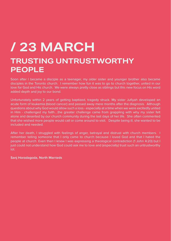## **/ 23 MARCH TRUSTING UNTRUSTWORTHY PEOPLE**

Soon after I became a disciple as a teenager, my older sister and younger brother also became disciples in the Toronto church. I remember how fun it was to go to church together, united in our love for God and His church. We were always pretty close as siblings but this new focus on His word added depth and joy to our bond.

Unfortunately within 2 years of getting baptized, tragedy struck. My sister Jufiyah developed an acute form of leukemia (blood cancer) and passed away mere months after the diagnosis. Although questions about why God would allow such a loss - especially at a time when we were excitedly united in Him - challenged my faith....the greater challenge came from grappling with why my sister felt alone and deserted by our church community during the last days of her life. She often commented that she wished more people would call or come around to visit. Despite being ill, she wanted to be included and needed.

After her death, I struggled with feelings of anger, betrayal and distrust with church members. I remember telling someone that I only came to church because I loved God and that I hated the people at church. Even then I knew I was expressing a theological contradiction (1 John 4:20) but I just could not understand how God could ask me to love and (especially) trust such an untrustworthy lot.

#### **Sanj Horadagoda, North Marrieds**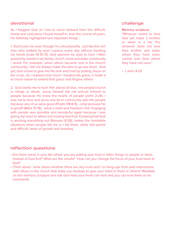#### devotional

As I begged God on how to move forward from the difficult, lonely and cold place I found myself in, over the course of years, He faithfully highlighted two important things ;

1. God trusts me even though I'm untrustworthy. Just like the rich man who walked by poor Lazarus every day without meeting his needs (Luke 16:19-31), God opened my eyes to how I often passed by needs in my family, church, work and wider community / world. For example, when others became sick in the church community, I did not always make the time to go see them. And yet, God chose to give me His love and trust by putting Jesus on the cross. As I realised how much I needed His grace, it made it so much easier to extend that grace and forgive others.

2. God wants me to trust Him above all else, not people/church or things or ideals. Jesus himself did not entrust himself to people because He knew the hearts of people (John 2:24). I was not to love and serve and be in community with His people because any of us were good (Psalm 118:8-9)....only because He is good!! (Mark 10:18)....what a relief and freedom I felt. Engaging with people was possible and wonderful again because I was giving my heart to others but trusting God first. Knowing that God is working everything out (Romans 8:28), makes the inevitable situations when people fail me or I fail them, while still painful and difficult, times of growth and bonding.

#### challenge

#### **Memory scripture:**

"Whoever claims to love God yet hates a brother or sister is a liar. For whoever does not love their brother and sister, whom they have seen, cannot love God, whom they have not seen."

– 1 John 4:20

- Are there areas in your life where you are putting your trust in other things or people or ideas instead of God first? What are the results? How can you change the focus of your trust back to God?
- Think about / write about whether there are any hurts and / or hang-ups from past interactions with others in the church that make you hesitate to give your heart to them or others? Meditate on the memory scripture and ask God how your heart can heal and you can love them as he commands.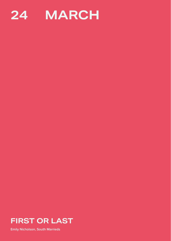



**Emily Nicholson, South Marrieds**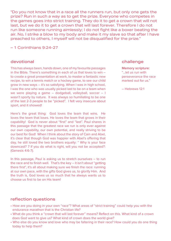"Do you not know that in a race all the runners run, but only one gets the prize? Run in such a way as to get the prize. Everyone who competes in the games goes into strict training. They do it to get a crown that will not last, but we do it to get a crown that will last forever. Therefore I do not run like someone running aimlessly; I do not fight like a boxer beating the air. No, I strike a blow to my body and make it my slave so that after I have preached to others, I myself will not be disqualified for the prize."

– 1 Corinthians 9:24-27

#### devotional

This has always been, hands down, one of my favourite passages in the Bible. There's something in each of us that loves to win – to create a great presentation at work, to master a fantastic new recipe, to win a tennis match or a hockey game, to see our child grow in new ways – it's so satisfying. When I was in high school, I was the one who was usually picked last to be on a team when we were playing a game – dodgeball, volleyball, soccer – I wasn't sporty by nature. It was always so humiliating to be one of the last 2-3 people to be "picked". I felt very insecure about sport, and it showed!

Here's the great thing: God loves the team that wins. He loves the team that loses. He loves the team that grows in their capability! God is never about "first" and "last". Paul shares in this passage that the greatest race we run is only ever against our own capability, our own potential, and really striving to be our best for God! When I think about the story of Cain and Abel, it's clear that though God was happier with Abel's offering that day, he still loved the two brothers equally: " Why is your face downcast? 7 If you do what is right, will you not be accepted?: (Genesis 4:6-7).

In this passage, Paul is asking us to stretch ourselves – to run the race and to finish well. That's the key – it isn't about "getting there first", it's all about making sure we finish the race: running at our own pace, with the gifts God gives us, to glorify Him. And the truth is, God loves us so much that he always wants us to choose us first to be on His team!

#### reflection questions

- How are you doing in your own "race"? What areas of "strict training" could help you with the endurance marathon that is the Christian life?
- What do you think a "crown that will last forever" means? Reflect on this. What kind of a crown does God want to give us? What kind of crown does the world give?
- Who else do you know and love who may be faltering in their race? How could you do one thing today to help them?

#### challenge

**Memory scripture:** "…let us run with perseverance the race marked out for us."

– Hebrews 12:1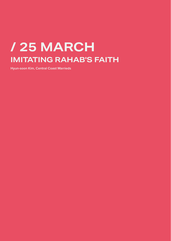## **/ 25 MARCH IMITATING RAHAB'S FAITH**

**Hyun-soon Kim, Central Coast Marrieds**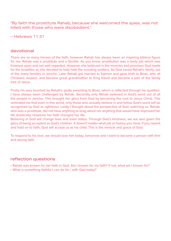"By faith the prostitute Rahab, because she welcomed the spies, was not killed with those who were disobedient."

– Hebrews 11:31

#### devotional

There are so many heroes of the faith, however Rahab has always been an inspiring biblical figure for me. Rahab was a prostitute and a Gentile. As you know, prostitution was a lowly job which was frowned upon and not well regarded. However she believed in the miracles and promises God made for the Israelites so she decided to help hide the scouting soldiers. So God saved Rahab's family, out of the many families in Jericho. Later Rahab got married to Salmon and gave birth to Boaz, who all Christans respect, and became great grandmother to King David and became a part of the family tree of Jesus.

Firstly I'm very touched by Rahab's godly parenting to Boaz, which is reflected through his qualities. I have always been challenged by Rahab. Secondly only Rahab believed in God's word out of all the people in Jericho. This brought her glory from God by becoming the root to Jesus Christ. This reminded me that even in this world, only those who actually believe in and follow God's word will be recognised by God as righteous. Lastly I thought about the perspective of God, watching us. Rahab, who was a prostitute, did not have anything to brag about nor anything that would have improved her life drastically. However her faith changed her life.

Believing in God will change lives and even status. Through God's kindness, we are also given the glory of being accepted as God's children. It doesn't matter what job or history you have, if you repent and hold on to faith, God will accept us as his child. This is the miracle and grace of God.

To respond to his love, we should love him today, tomorrow and I want to become a person with firm and strong faith.

- Rahab was known for her faith in God. Am I known for my faith? If not, what am I known for?
- What is something faithful I can do for / with God today?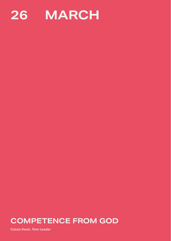

### **COMPETENCE FROM GOD**

**Cassie Kwok, Teen Leader**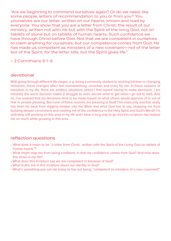"Are we beginning to commend ourselves again? Or do we need, like some people, letters of recommendation to you or from you? You yourselves are our letter, written on our hearts, known and read by everyone. You show that you are a letter from Christ, the result of our ministry, written not with ink but with the Spirit of the living God, not on tablets of stone but on tablets of human hearts. Such confidence we have through Christ before God. Not that we are competent in ourselves to claim anything for ourselves, but our competence comes from God. He has made us competent as ministers of a new covenant—not of the letter but of the Spirit; for the letter kills, but the Spirit gives life."

– 2 Corinthians 3:1-6

#### devotional

With going through different life stages, e.g. being a university student to working full time or changing ministries, these changes often feel overwhelming, uncertain and scary for me. In these seasons of transition in my life, there are endless situations where I find myself having to make decisions. I am honestly the worst decision maker (I struggle to even decide what to get when I go out to eat!). And so, I've realised that my decisions tend to be made based on what others would approve of or out of fear or people pleasing. But none of these reasons are pleasing to God! This insecurity and fear really has held me back from digging deeper into the Bible and what God has to say, stopping me from building deeper convictions and robbing me of the confidence in the Holy Spirit and God's Word!! I'm definitely still working on this area in my life and I have a long way to go and this scripture has helped me so much while growing in this area.

- What does it mean to be "a letter from Christ.. written with the Spirit of the Living God on tablets of human hearts"?
- What might stop me from being confident, in that my confidence comes from God? And how does this show in my life?
- What does this scripture say we are competent in because of God?
- What truths are in this scripture about our identity in God?
- What's something you can do today to live out being "competent as ministers of a new covenant?"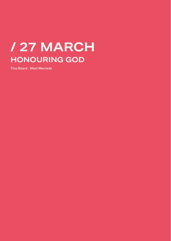## **/ 27 MARCH HONOURING GOD**

**Tina Board , West Marrieds**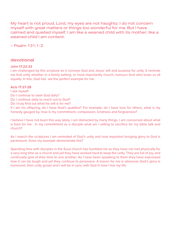My heart is not proud, Lord, my eyes are not haughty; I do not concern myself with great matters or things too wonderful for me. But I have calmed and quieted myself, I am like a weaned child with its mother; like a weaned child I am content.

– Psalm 131:1-2

#### devotional

#### **John 17:22-23**

I am challenged by this scripture as it conveys God and Jesus' will and purpose for unity. It reminds me that unity whether in a family setting, or most importantly church, honours God who loves us all equally. In this, God has set the perfect example for me.

#### **Acts 17:27-28**

I ask myself: Do I continue to seek God daily? Do I continue daily to reach out to God? Do I truly find out what his will is for me? If I am his offspring, do I have God's qualities? For example, do I have love for others, what is my honesty gauged by, how is my commitment, compassion, kindness and forgiveness?

I believe I have not been this way lately, I am distracted by many things, I am concerned about what is best for me. In my commitment as a disciple what am I willing to sacrifice for my bible talk and church?

As I search the scriptures I am reminded of God's unity and how important bringing glory to God is paramount. Does my example demonstrate this?

Spending time with disciples in the Suva church has humbled me as they have not met physically for a very long time as a church and yet they have worked hard to keep the unity. They are full of joy, and continually give of their time to one another. As I have been speaking to them they have expressed how it can be tough and yet they continue to persevere. A lesson for me is wherever God's glory is honoured, then unity grows and I will be in sync with God in how I live my life.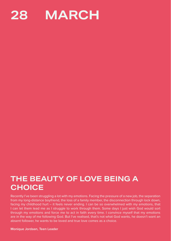

### **THE BEAUTY OF LOVE BEING A CHOICE**

Recently I've been struggling a lot with my emotions. Facing the pressure of a new job, the separation from my long-distance boyfriend, the loss of a family member, the disconnection through lock down, facing my childhood hurt – it feels never ending. I can be so overwhelmed with my emotions, that I can let them lead me as I struggle to work through them. Some days I just wish God would sort through my emotions and force me to act in faith every time. I convince myself that my emotions are in the way of me following God. But I've realised, that's not what God wants, he doesn't want an absent follower, he wants to be loved and true love comes as a choice.

**Monique Jordaan, Teen Leader**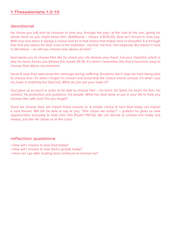#### **1 Thessalonians 1:2-10**

#### devotional

He chose you (v4) and he chooses to love you, through the pain, at the cost of His son, giving his whole heart so you might know Him. (Additional – Hosea 2:16,19,23). God isn't forced to love you. With true love there is always a choice and it's in that choice that makes love so beautiful. It is through that love you labour for God. Love is the motivator - not fear, not hurt, not religiosity. But labour in love is still labour – so will you choose love above all else?

God wants you to choose Him like he chose you. He desires your heart, not your checklist, which is why he never forces you (Hosea 6:6, Isaiah 29:13). It's when I remember this that it becomes easy to choose God above my emotions.

Verse 6 says they welcomed the message during suffering. Emotions don't stop me from being able to choose love. It's when I forget I'm chosen and loved that the choice seems unclear. It's when I put my hope in anything but God (v2). What do you put your hope in?

God gave us so much in order to be able to choose Him – his word, his Spirit, his heart, his Son, his comfort, his protection and guidance, his people. What has God done or put in your life to help you choose Him with love? Do you forget?

Once we choose God, we impact those around us. A simple choice to love God today can impact a soul forever. Will He be able to say of you, "She chose me today"? – grateful he gives us new opportunities everyday to hold onto Him (Psalm 119:112). We can decide to choose him today and always, just like He chose us at the cross.

- How will I choose to love God today?
- How will I choose to love God's people today?
- How can I go after trusting God continues to choose me?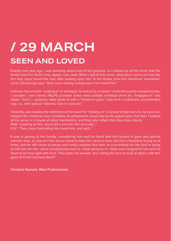## **/ 29 MARCH SEEN AND LOVED**

Exactly one year ago, I was studying about love in the gospels, so I looked up all the times that the Greek word for God's love, agape, was used. When I got to this verse, what stuck out to me was the fact that Jesus loved this man after looking upon him. In the Greek, from the interlinear translation, verse 21a directly says: "And Jesus having looked upon him loved him."

In Greek, the word for "looking at" is: emblepó - to look at, to consider / I look into (upon); metaphorically: I consider; I see clearly. HELPS provides some extra context: emblépo (from en, "engaged in" and blepo, "look") **–** properly, stare (look) at with a "locked-in gaze"; look at in a sustained, concentrated way, i.e., with special "interest, love or concern".

Honestly, just reading the definition of the word for "looking at" in Greek brings tears to my eyes as I imagine the immense care, kindness, & compassion Jesus had as He gazed upon this man. I looked at the verse in a couple of other translations, and they also reflect this idea more clearly: NAS: "Looking at him, Jesus felt a love for him and said…"

KJV: "Then Jesus beholding him loved him, and said…"

It was in gazing at him fixedly, considering him and his heart with this locked in gaze and special interest, love, or concern that Jesus chose to love him. Jesus is love, and He is therefore loving at all times, but He still chose to pause and really consider this man, to concentrate on him and in doing so felt love for him. Jesus loved/wished well to / took pleasure in / likely even longed for him and his heart to be truly right with God. This made me wonder: Am I taking the time to look at others with this gaze of Christ and love them?

**Christina Namato, West Professionals**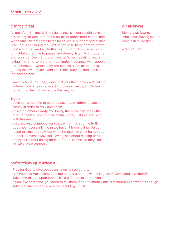#### devotional

All too often, I'm not. With my husband, I can get caught up in the day to day to-dos, and focus on tasks rather than connection. When other sisters come to me for advice or support, sometimes I can focus on finding the right scripture to help them with what they're sharing, and while this is important, it is also important to first take the time to pause and deeply listen, to sit together and consider them and their hearts. When reaching out, am I taking the time to try and meaningfully connect with people and understand where they are coming from, or do I focus on getting the invite to an event or a Bible study out and move onto the next person?

I want to have the deep, quiet stillness that comes with taking the time to gaze upon others, to look upon Jesus, and to bask in the fact that Jesus looks at me this way too.

#### **Truths**

- Love takes the time to behold / gaze upon others to see them clearly in order to truly love them.
- In seeing others clearly and loving them, we can speak the truth to them in love and call them higher, just like Jesus did with this man.
- Just because someone walks away from us and the truth does not necessarily mean we haven't been loving. Jesus loved this man deeply, but when he told him what he needed to hear, he went away sad. Loving isn't about making people happy. It is about telling them the truth, in love, so they can be with Jesus eternally.

#### reflection questions

- Pray for God to give you Jesus' eyes to see others.
- Ask yourself: Am I taking the time to look at others with this gaze of Christ and love them?
- Take time to look upon others. It's a gift to them and to you.
- If you love someone, you need to tell them the truth about Christ's standard even when it's tough.
- Take the time to behold and be beheld by Christ.

#### challenge

#### **Memory scripture:** "And Jesus having looked upon him loved him."

 $-$  Mark 10:21a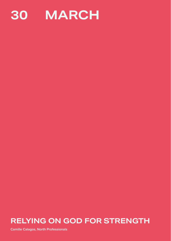

### **RELYING ON GOD FOR STRENGTH**

**Camille Calagos, North Professionals**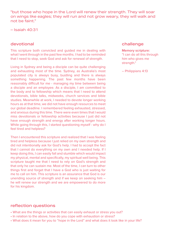"but those who hope in the Lord will renew their strength. They will soar on wings like eagles; they will run and not grow weary, they will walk and not be faint."

– Isaiah 40:31

#### devotional

This scripture both convicted and guided me in dealing with what I went through in the past few months. I had to be reminded that I need to stop, seek God and ask for renewal of strength.

Living in Sydney and being a disciple can be quite challenging and exhausting most of the time. Sydney, as Australia's most populated city is always busy, bustling and there is always something happening. The past few months have been reasonably difficult for me - managing my time between being a disciple and an employee. As a disciple, I am committed to the body and to fellowship which means that I need to attend devotionals, bible talks, midweeks, church services and bible studies. Meanwhile at work, I needed to devote longer working hours as at that time, we did not have enough resources to meet our global deadline. I remembered feeling exhausted, stressed, and anxious during this time. There were even times that I would miss devotionals or fellowship activities because I just did not have enough strength and energy after working longer hours. While going through this, I started questioning myself - why do I feel tired and helpless?

Then I encountered this scripture and realized that I was feeling tired and helpless because I just relied on my own strength and did not intentionally ask for God's help. I had to accept the fact that I cannot do everything on my own and I needed help. If I keep doing this, I can easily fall and stumble which would impact my physical, mental and specifically, my spiritual well being. This scripture taught me that I need to rely on God's strength and that only he can sustain me. Most of the time, I can turn to other things first and forget that I have a God who is just waiting for me to call on him. This scripture is an assurance that God is our unending source of strength and if we keep on seeking him – he will renew our strength and we are empowered to do more for his kingdom.

#### reflection questions

- What are the things or activities that can easily exhaust or stress you out?
- In relation to the above, how do you cope with exhaustion or stress?
- What does it mean for you to "hope in the Lord" and what does it look like in your life?

#### challenge

**Memory scripture:** "I can do all this through him who gives me strength."

– Philippians 4:13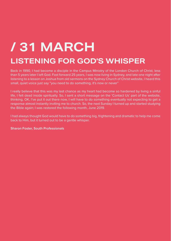# **/ 31 MARCH**

### **LISTENING FOR GOD'S WHISPER**

Back in 1990, I had become a disciple in the Campus Ministry of the London Church of Christ, less than 5 years later I left God. Fast forward 25 years, I was now living in Sydney, and late one night after listening to a lesson on Joshua from old sermons on the Sydney Church of Christ website, I heard this small, quiet voice just say "you need to do something, it's now or never"

I really believe that this was my last chance as my heart had become so hardened by living a sinful life, I felt dead inside spiritually. So, I sent a short message on the 'Contact Us' part of the website, thinking, OK, I've put it out there now, I will have to do something eventually not expecting to get a response almost instantly inviting me to church. So, the next Sunday I turned up and started studying the Bible again; I was restored the following month, June 2019.

I had always thought God would have to do something big, frightening and dramatic to help me come back to Him, but it turned out to be a gentle whisper.

**Sharon Foster, South Professionals**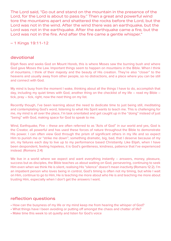The Lord said, "Go out and stand on the mountain in the presence of the Lord, for the Lord is about to pass by." Then a great and powerful wind tore the mountains apart and shattered the rocks before the Lord, but the Lord was not in the wind. After the wind there was an earthquake, but the Lord was not in the earthquake. After the earthquake came a fire, but the Lord was not in the fire. And after the fire came a gentle whisper."

– 1 Kings 19:11-12

#### devotional

Elijah flees and seeks God on Mount Horeb, this is where Moses saw the burning bush and where God gave Moses the Law. Important things seem to happen on mountains in the Bible. When I think of mountains, I think of their majesty and the beauty of His creation. They're also "closer" to the heavens and usually away from other people, so no distractions, and a place where you can be still and connect with God.

My mind is busy from the moment I wake, thinking about all the things I have to do, accomplish that day, including my quiet times with God, another thing on the checklist of my life – read my Bible – tick, pray – tick, right, now the next thing on my list.

Recently though, I've been learning about the need to dedicate time to just being still, meditating and contemplating God's word, listening to what His Spirit wants to teach me. This is challenging for me, my mind is all over the place, I'm task orientated and get caught up in the "doing" instead of just "being" with God, making space for God to speak to me.

Wind, Earthquake, Fire – these are often referred to as "Acts of God" in our world and yes, God is the Creator, all powerful and has used these forces of nature throughout the Bible to demonstrate His power. I can often view God through the prism of significant others in my life and so expect Him to punish me or "strike me down"; something dramatic, big, bad, that I deserve because of my sin, my failures each day to live up to my performance based Christianity. Like Elijah, when I have been despondent, feeling hopeless, it is God's gentleness, kindness, patience that I've experienced instead. (Romans 2:4)

We live in a world where we expect and want everything instantly – answers, money, pleasure, success but as disciples, the Bible teaches us about waiting on God, persevering, continuing to seek Him even when we think He is silent, realising His "silence" doesn't mean inactivity (Romans 12:2). I'm an impatient person who loves being in control, God's timing is often not my timing, but while I wait on Him, continue to go to Him, He is teaching me more about who He is and teaching me more about trusting Him, especially when I don't get the answers I want.

- How can the busyness of my life or my mind keep me from hearing the whisper of God?
- What things have I been avoiding or putting off amongst the chaos and chatter of life?
- Make time this week to sit quietly and listen for God's voice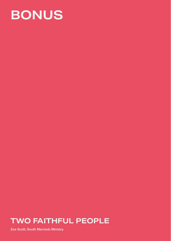

### **TWO FAITHFUL PEOPLE**

**Zoe Scott, South Marrieds Ministry**